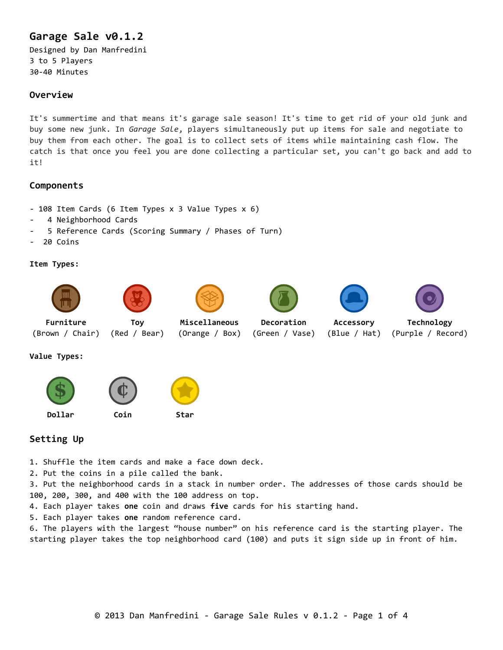# **Garage Sale v0.1.2**

Designed by Dan Manfredini 3 to 5 Players 30-40 Minutes

# **Overview**

It's summertime and that means it's garage sale season! It's time to get rid of your old junk and buy some new junk. In *Garage Sale*, players simultaneously put up items for sale and negotiate to buy them from each other. The goal is to collect sets of items while maintaining cash flow. The catch is that once you feel you are done collecting a particular set, you can't go back and add to it!

# **Components**

- 108 Item Cards (6 Item Types x 3 Value Types x 6)
- 4 Neighborhood Cards
- 5 Reference Cards (Scoring Summary / Phases of Turn)
- 20 Coins

### **Item Types:**





(Brown / Chair)

(Red / Bear)

(Orange / Box)

**Decoration** (Green / Vase)

**Accessory** (Blue / Hat)

**Technology** (Purple / Record)

**Value Types:**



# **Setting Up**

1. Shuffle the item cards and make a face down deck.

2. Put the coins in a pile called the bank.

3. Put the neighborhood cards in a stack in number order. The addresses of those cards should be 100, 200, 300, and 400 with the 100 address on top.

4. Each player takes **one** coin and draws **five** cards for his starting hand.

5. Each player takes **one** random reference card.

6. The players with the largest "house number" on his reference card is the starting player. The starting player takes the top neighborhood card (100) and puts it sign side up in front of him.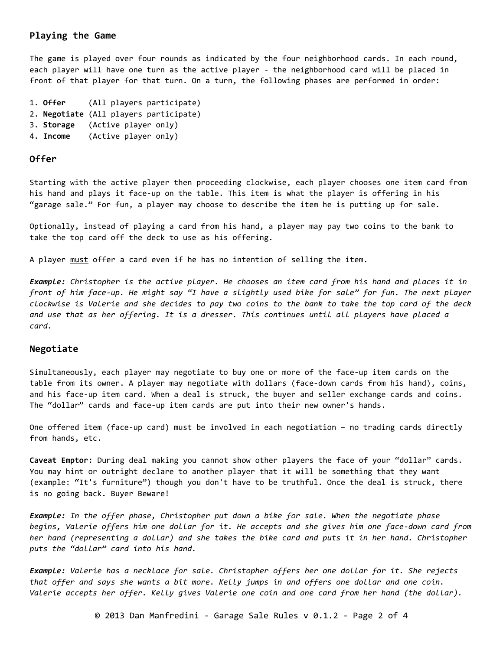# **Playing the Game**

The game is played over four rounds as indicated by the four neighborhood cards. In each round, each player will have one turn as the active player - the neighborhood card will be placed in front of that player for that turn. On a turn, the following phases are performed in order:

1. **Offer** (All players participate) 2. **Negotiate** (All players participate) 3. **Storage** (Active player only) 4. **Income** (Active player only)

## **Offer**

Starting with the active player then proceeding clockwise, each player chooses one item card from his hand and plays it face-up on the table. This item is what the player is offering in his "garage sale." For fun, a player may choose to describe the item he is putting up for sale.

Optionally, instead of playing a card from his hand, a player may pay two coins to the bank to take the top card off the deck to use as his offering.

A player must offer a card even if he has no intention of selling the item.

*Example: Christopher is the active player. He chooses an item card from his hand and places it in front of him face-up. He might say "I have a slightly used bike for sale" for fun. The next player clockwise is Valerie and she decides to pay two coins to the bank to take the top card of the deck and use that as her offering. It is a dresser. This continues until all players have placed a card.*

### **Negotiate**

Simultaneously, each player may negotiate to buy one or more of the face-up item cards on the table from its owner. A player may negotiate with dollars (face-down cards from his hand), coins, and his face-up item card. When a deal is struck, the buyer and seller exchange cards and coins. The "dollar" cards and face-up item cards are put into their new owner's hands.

One offered item (face-up card) must be involved in each negotiation – no trading cards directly from hands, etc.

**Caveat Emptor:** During deal making you cannot show other players the face of your "dollar" cards. You may hint or outright declare to another player that it will be something that they want (example: "It's furniture") though you don't have to be truthful. Once the deal is struck, there is no going back. Buyer Beware!

*Example: In the offer phase, Christopher put down a bike for sale. When the negotiate phase begins, Valerie offers him one dollar for it. He accepts and she gives him one face-down card from her hand (representing a dollar) and she takes the bike card and puts it in her hand. Christopher puts the "dollar" card into his hand.*

*Example: Valerie has a necklace for sale. Christopher offers her one dollar for it. She rejects that offer and says she wants a bit more. Kelly jumps in and offers one dollar and one coin. Valerie accepts her offer. Kelly gives Valerie one coin and one card from her hand (the dollar).*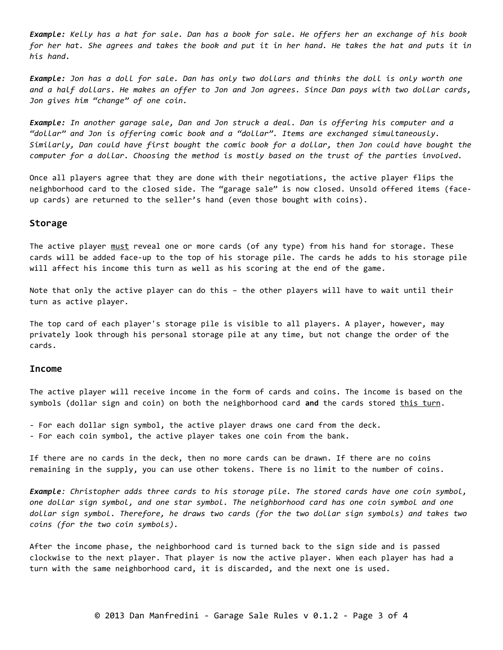*Example: Kelly has a hat for sale. Dan has a book for sale. He offers her an exchange of his book for her hat. She agrees and takes the book and put it in her hand. He takes the hat and puts it in his hand.*

*Example: Jon has a doll for sale. Dan has only two dollars and thinks the doll is only worth one and a half dollars. He makes an offer to Jon and Jon agrees. Since Dan pays with two dollar cards, Jon gives him "change" of one coin.*

*Example: In another garage sale, Dan and Jon struck a deal. Dan is offering his computer and a "dollar" and Jon is offering comic book and a "dollar". Items are exchanged simultaneously. Similarly, Dan could have first bought the comic book for a dollar, then Jon could have bought the computer for a dollar. Choosing the method is mostly based on the trust of the parties involved.*

Once all players agree that they are done with their negotiations, the active player flips the neighborhood card to the closed side. The "garage sale" is now closed. Unsold offered items (faceup cards) are returned to the seller's hand (even those bought with coins).

#### **Storage**

The active player must reveal one or more cards (of any type) from his hand for storage. These cards will be added face-up to the top of his storage pile. The cards he adds to his storage pile will affect his income this turn as well as his scoring at the end of the game.

Note that only the active player can do this – the other players will have to wait until their turn as active player.

The top card of each player's storage pile is visible to all players. A player, however, may privately look through his personal storage pile at any time, but not change the order of the cards.

### **Income**

The active player will receive income in the form of cards and coins. The income is based on the symbols (dollar sign and coin) on both the neighborhood card **and** the cards stored this turn.

- For each dollar sign symbol, the active player draws one card from the deck. - For each coin symbol, the active player takes one coin from the bank.

If there are no cards in the deck, then no more cards can be drawn. If there are no coins remaining in the supply, you can use other tokens. There is no limit to the number of coins.

*Example: Christopher adds three cards to his storage pile. The stored cards have one coin symbol, one dollar sign symbol, and one star symbol. The neighborhood card has one coin symbol and one dollar sign symbol. Therefore, he draws two cards (for the two dollar sign symbols) and takes two coins (for the two coin symbols).*

After the income phase, the neighborhood card is turned back to the sign side and is passed clockwise to the next player. That player is now the active player. When each player has had a turn with the same neighborhood card, it is discarded, and the next one is used.